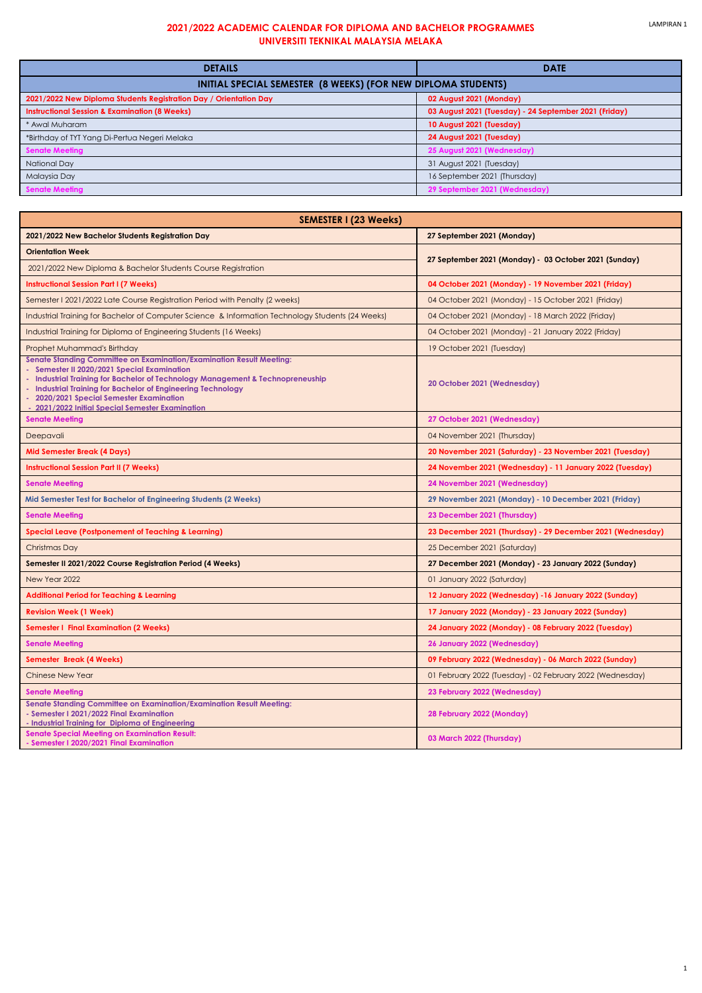| <b>DETAILS</b>                                                    | <b>DATE</b>                                           |  |
|-------------------------------------------------------------------|-------------------------------------------------------|--|
| INITIAL SPECIAL SEMESTER (8 WEEKS) (FOR NEW DIPLOMA STUDENTS)     |                                                       |  |
| 2021/2022 New Diploma Students Registration Day / Orientation Day | 02 August 2021 (Monday)                               |  |
| <b>Instructional Session &amp; Examination (8 Weeks)</b>          | 03 August 2021 (Tuesday) - 24 September 2021 (Friday) |  |
| * Awal Muharam                                                    | 10 August 2021 (Tuesday)                              |  |
| *Birthday of TYT Yang Di-Pertua Negeri Melaka                     | 24 August 2021 (Tuesday)                              |  |
| <b>Senate Meeting</b>                                             | 25 August 2021 (Wednesday)                            |  |
| <b>National Day</b>                                               | 31 August 2021 (Tuesday)                              |  |
| Malaysia Day                                                      | 16 September 2021 (Thursday)                          |  |
| <b>Senate Meeting</b>                                             | 29 September 2021 (Wednesday)                         |  |

| <b>SEMESTER I (23 Weeks)</b>                                                                                                                                                                                                                                                                                                                                          |                                                            |  |
|-----------------------------------------------------------------------------------------------------------------------------------------------------------------------------------------------------------------------------------------------------------------------------------------------------------------------------------------------------------------------|------------------------------------------------------------|--|
| 2021/2022 New Bachelor Students Registration Day                                                                                                                                                                                                                                                                                                                      | 27 September 2021 (Monday)                                 |  |
| <b>Orientation Week</b>                                                                                                                                                                                                                                                                                                                                               | 27 September 2021 (Monday) - 03 October 2021 (Sunday)      |  |
| 2021/2022 New Diploma & Bachelor Students Course Registration                                                                                                                                                                                                                                                                                                         |                                                            |  |
| <b>Instructional Session Part I (7 Weeks)</b>                                                                                                                                                                                                                                                                                                                         | 04 October 2021 (Monday) - 19 November 2021 (Friday)       |  |
| Semester I 2021/2022 Late Course Registration Period with Penalty (2 weeks)                                                                                                                                                                                                                                                                                           | 04 October 2021 (Monday) - 15 October 2021 (Friday)        |  |
| Industrial Training for Bachelor of Computer Science & Information Technology Students (24 Weeks)                                                                                                                                                                                                                                                                     | 04 October 2021 (Monday) - 18 March 2022 (Friday)          |  |
| Industrial Training for Diploma of Engineering Students (16 Weeks)                                                                                                                                                                                                                                                                                                    | 04 October 2021 (Monday) - 21 January 2022 (Friday)        |  |
| Prophet Muhammad's Birthday                                                                                                                                                                                                                                                                                                                                           | 19 October 2021 (Tuesday)                                  |  |
| Senate Standing Committee on Examination/Examination Result Meeting:<br>- Semester II 2020/2021 Special Examination<br>- Industrial Training for Bachelor of Technology Management & Technopreneuship<br>- Industrial Training for Bachelor of Engineering Technology<br>- 2020/2021 Special Semester Examination<br>- 2021/2022 Initial Special Semester Examination | 20 October 2021 (Wednesday)                                |  |
| <b>Senate Meeting</b>                                                                                                                                                                                                                                                                                                                                                 | 27 October 2021 (Wednesday)                                |  |
| Deepavali                                                                                                                                                                                                                                                                                                                                                             | 04 November 2021 (Thursday)                                |  |
| <b>Mid Semester Break (4 Days)</b>                                                                                                                                                                                                                                                                                                                                    | 20 November 2021 (Saturday) - 23 November 2021 (Tuesday)   |  |
| <b>Instructional Session Part II (7 Weeks)</b>                                                                                                                                                                                                                                                                                                                        | 24 November 2021 (Wednesday) - 11 January 2022 (Tuesday)   |  |
| <b>Senate Meeting</b>                                                                                                                                                                                                                                                                                                                                                 | 24 November 2021 (Wednesday)                               |  |
| Mid Semester Test for Bachelor of Engineering Students (2 Weeks)                                                                                                                                                                                                                                                                                                      | 29 November 2021 (Monday) - 10 December 2021 (Friday)      |  |
| <b>Senate Meeting</b>                                                                                                                                                                                                                                                                                                                                                 | 23 December 2021 (Thursday)                                |  |
| <b>Special Leave (Postponement of Teaching &amp; Learning)</b>                                                                                                                                                                                                                                                                                                        | 23 December 2021 (Thurdsay) - 29 December 2021 (Wednesday) |  |
| Christmas Day                                                                                                                                                                                                                                                                                                                                                         | 25 December 2021 (Saturday)                                |  |
| Semester II 2021/2022 Course Registration Period (4 Weeks)                                                                                                                                                                                                                                                                                                            | 27 December 2021 (Monday) - 23 January 2022 (Sunday)       |  |
| New Year 2022                                                                                                                                                                                                                                                                                                                                                         | 01 January 2022 (Saturday)                                 |  |
| <b>Additional Period for Teaching &amp; Learning</b>                                                                                                                                                                                                                                                                                                                  | 12 January 2022 (Wednesday) -16 January 2022 (Sunday)      |  |
| <b>Revision Week (1 Week)</b>                                                                                                                                                                                                                                                                                                                                         | 17 January 2022 (Monday) - 23 January 2022 (Sunday)        |  |
| <b>Semester I Final Examination (2 Weeks)</b>                                                                                                                                                                                                                                                                                                                         | 24 January 2022 (Monday) - 08 February 2022 (Tuesday)      |  |
| <b>Senate Meeting</b>                                                                                                                                                                                                                                                                                                                                                 | 26 January 2022 (Wednesday)                                |  |
| <b>Semester Break (4 Weeks)</b>                                                                                                                                                                                                                                                                                                                                       | 09 February 2022 (Wednesday) - 06 March 2022 (Sunday)      |  |
| <b>Chinese New Year</b>                                                                                                                                                                                                                                                                                                                                               | 01 February 2022 (Tuesday) - 02 February 2022 (Wednesday)  |  |
| <b>Senate Meeting</b>                                                                                                                                                                                                                                                                                                                                                 | 23 February 2022 (Wednesday)                               |  |
| <b>Senate Standing Committee on Examination/Examination Result Meeting:</b><br>- Semester I 2021/2022 Final Examination<br>- Industrial Training for Diploma of Engineering                                                                                                                                                                                           | 28 February 2022 (Monday)                                  |  |
| <b>Senate Special Meeting on Examination Result:</b><br>- Semester I 2020/2021 Final Examination                                                                                                                                                                                                                                                                      | 03 March 2022 (Thursday)                                   |  |

## **2021/2022 ACADEMIC CALENDAR FOR DIPLOMA AND BACHELOR PROGRAMMES UNIVERSITI TEKNIKAL MALAYSIA MELAKA**